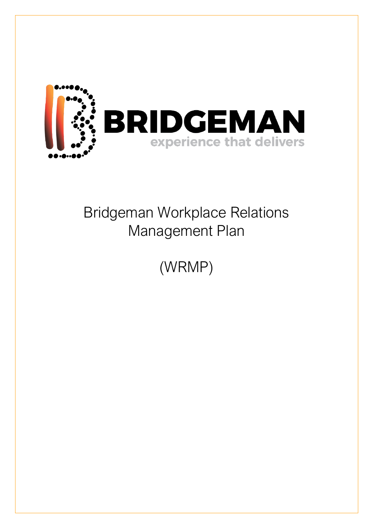

# Bridgeman Workplace Relations Management Plan

(WRMP)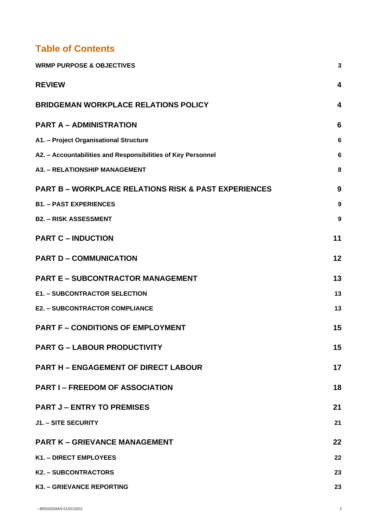### **Table of Contents**

| <b>WRMP PURPOSE &amp; OBJECTIVES</b>                            | 3                       |
|-----------------------------------------------------------------|-------------------------|
| <b>REVIEW</b>                                                   | $\overline{\mathbf{4}}$ |
| <b>BRIDGEMAN WORKPLACE RELATIONS POLICY</b>                     | $\overline{\mathbf{4}}$ |
| <b>PART A - ADMINISTRATION</b>                                  | 6                       |
| A1. - Project Organisational Structure                          | 6                       |
| A2. - Accountabilities and Responsibilities of Key Personnel    | 6                       |
| <b>A3. - RELATIONSHIP MANAGEMENT</b>                            | 8                       |
| <b>PART B – WORKPLACE RELATIONS RISK &amp; PAST EXPERIENCES</b> | 9                       |
| <b>B1. - PAST EXPERIENCES</b>                                   | 9                       |
| <b>B2. - RISK ASSESSMENT</b>                                    | 9                       |
| <b>PART C - INDUCTION</b>                                       | 11                      |
| <b>PART D - COMMUNICATION</b>                                   | 12                      |
| <b>PART E - SUBCONTRACTOR MANAGEMENT</b>                        | 13                      |
| <b>E1. - SUBCONTRACTOR SELECTION</b>                            | 13                      |
| <b>E2. - SUBCONTRACTOR COMPLIANCE</b>                           | 13                      |
| <b>PART F - CONDITIONS OF EMPLOYMENT</b>                        | 15                      |
| <b>PART G - LABOUR PRODUCTIVITY</b>                             | 15                      |
| <b>PART H - ENGAGEMENT OF DIRECT LABOUR</b>                     | 17                      |
| <b>PART I – FREEDOM OF ASSOCIATION</b>                          | 18                      |
| <b>PART J - ENTRY TO PREMISES</b>                               | 21                      |
| <b>J1. - SITE SECURITY</b>                                      | 21                      |
| <b>PART K - GRIEVANCE MANAGEMENT</b>                            | 22                      |
| K1. - DIRECT EMPLOYEES                                          | 22                      |
| K2. - SUBCONTRACTORS                                            | 23                      |
| K3. - GRIEVANCE REPORTING                                       | 23                      |
|                                                                 |                         |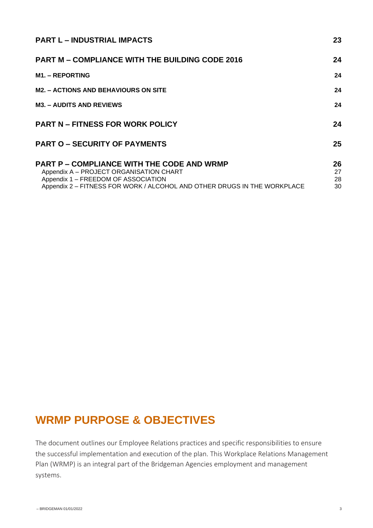| <b>PART L - INDUSTRIAL IMPACTS</b>                                                                                                                                                                              | 23                   |
|-----------------------------------------------------------------------------------------------------------------------------------------------------------------------------------------------------------------|----------------------|
| <b>PART M – COMPLIANCE WITH THE BUILDING CODE 2016</b>                                                                                                                                                          | 24                   |
| <b>M1. - REPORTING</b>                                                                                                                                                                                          | 24                   |
| <b>M2. – ACTIONS AND BEHAVIOURS ON SITE</b>                                                                                                                                                                     | 24                   |
| <b>M3. - AUDITS AND REVIEWS</b>                                                                                                                                                                                 | 24                   |
| <b>PART N – FITNESS FOR WORK POLICY</b>                                                                                                                                                                         | 24                   |
| <b>PART O – SECURITY OF PAYMENTS</b>                                                                                                                                                                            | 25                   |
| <b>PART P – COMPLIANCE WITH THE CODE AND WRMP</b><br>Appendix A - PROJECT ORGANISATION CHART<br>Appendix 1 - FREEDOM OF ASSOCIATION<br>Appendix 2 - FITNESS FOR WORK / ALCOHOL AND OTHER DRUGS IN THE WORKPLACE | 26<br>27<br>28<br>30 |

## <span id="page-2-0"></span>**WRMP PURPOSE & OBJECTIVES**

The document outlines our Employee Relations practices and specific responsibilities to ensure the successful implementation and execution of the plan. This Workplace Relations Management Plan (WRMP) is an integral part of the Bridgeman Agencies employment and management systems.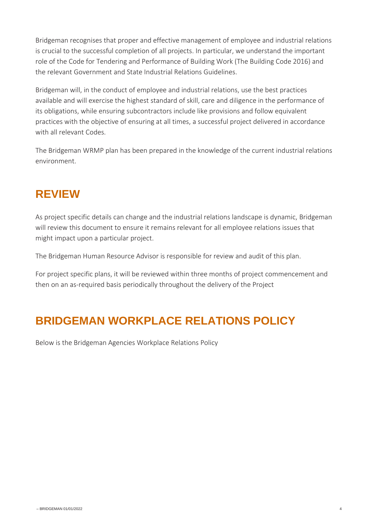Bridgeman recognises that proper and effective management of employee and industrial relations is crucial to the successful completion of all projects. In particular, we understand the important role of the Code for Tendering and Performance of Building Work (The Building Code 2016) and the relevant Government and State Industrial Relations Guidelines.

Bridgeman will, in the conduct of employee and industrial relations, use the best practices available and will exercise the highest standard of skill, care and diligence in the performance of its obligations, while ensuring subcontractors include like provisions and follow equivalent practices with the objective of ensuring at all times, a successful project delivered in accordance with all relevant Codes.

The Bridgeman WRMP plan has been prepared in the knowledge of the current industrial relations environment.

### <span id="page-3-0"></span>**REVIEW**

As project specific details can change and the industrial relations landscape is dynamic, Bridgeman will review this document to ensure it remains relevant for all employee relations issues that might impact upon a particular project.

The Bridgeman Human Resource Advisor is responsible for review and audit of this plan.

For project specific plans, it will be reviewed within three months of project commencement and then on an as-required basis periodically throughout the delivery of the Project

### <span id="page-3-1"></span>**BRIDGEMAN WORKPLACE RELATIONS POLICY**

Below is the Bridgeman Agencies Workplace Relations Policy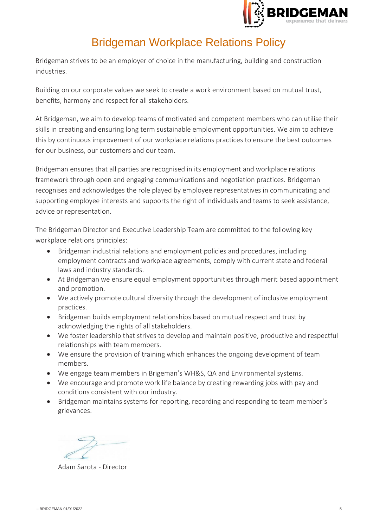

## Bridgeman Workplace Relations Policy

Bridgeman strives to be an employer of choice in the manufacturing, building and construction industries.

Building on our corporate values we seek to create a work environment based on mutual trust, benefits, harmony and respect for all stakeholders.

At Bridgeman, we aim to develop teams of motivated and competent members who can utilise their skills in creating and ensuring long term sustainable employment opportunities. We aim to achieve this by continuous improvement of our workplace relations practices to ensure the best outcomes for our business, our customers and our team.

Bridgeman ensures that all parties are recognised in its employment and workplace relations framework through open and engaging communications and negotiation practices. Bridgeman recognises and acknowledges the role played by employee representatives in communicating and supporting employee interests and supports the right of individuals and teams to seek assistance, advice or representation.

The Bridgeman Director and Executive Leadership Team are committed to the following key workplace relations principles:

- Bridgeman industrial relations and employment policies and procedures, including employment contracts and workplace agreements, comply with current state and federal laws and industry standards.
- At Bridgeman we ensure equal employment opportunities through merit based appointment and promotion.
- We actively promote cultural diversity through the development of inclusive employment practices.
- Bridgeman builds employment relationships based on mutual respect and trust by acknowledging the rights of all stakeholders.
- We foster leadership that strives to develop and maintain positive, productive and respectful relationships with team members.
- We ensure the provision of training which enhances the ongoing development of team members.
- We engage team members in Brigeman's WH&S, QA and Environmental systems.
- We encourage and promote work life balance by creating rewarding jobs with pay and conditions consistent with our industry.
- Bridgeman maintains systems for reporting, recording and responding to team member's grievances.

Adam Sarota - Director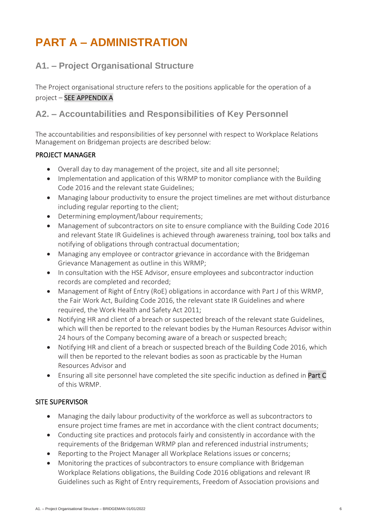# <span id="page-5-0"></span>**PART A – ADMINISTRATION**

### <span id="page-5-1"></span>**A1. – Project Organisational Structure**

The Project organisational structure refers to the positions applicable for the operation of a project – SEE APPENDIX A

### <span id="page-5-2"></span>**A2. – Accountabilities and Responsibilities of Key Personnel**

The accountabilities and responsibilities of key personnel with respect to Workplace Relations Management on Bridgeman projects are described below:

#### PROJECT MANAGER

- Overall day to day management of the project, site and all site personnel;
- Implementation and application of this WRMP to monitor compliance with the Building Code 2016 and the relevant state Guidelines;
- Managing labour productivity to ensure the project timelines are met without disturbance including regular reporting to the client;
- Determining employment/labour requirements;
- Management of subcontractors on site to ensure compliance with the Building Code 2016 and relevant State IR Guidelines is achieved through awareness training, tool box talks and notifying of obligations through contractual documentation;
- Managing any employee or contractor grievance in accordance with the Bridgeman Grievance Management as outline in this WRMP;
- In consultation with the HSE Advisor, ensure employees and subcontractor induction records are completed and recorded;
- Management of Right of Entry (RoE) obligations in accordance with Part J of this WRMP, the Fair Work Act, Building Code 2016, the relevant state IR Guidelines and where required, the Work Health and Safety Act 2011;
- Notifying HR and client of a breach or suspected breach of the relevant state Guidelines, which will then be reported to the relevant bodies by the Human Resources Advisor within 24 hours of the Company becoming aware of a breach or suspected breach;
- Notifying HR and client of a breach or suspected breach of the Building Code 2016, which will then be reported to the relevant bodies as soon as practicable by the Human Resources Advisor and
- Ensuring all site personnel have completed the site specific induction as defined in Part C of this WRMP.

#### SITE SUPERVISOR

- Managing the daily labour productivity of the workforce as well as subcontractors to ensure project time frames are met in accordance with the client contract documents;
- Conducting site practices and protocols fairly and consistently in accordance with the requirements of the Bridgeman WRMP plan and referenced industrial instruments;
- Reporting to the Project Manager all Workplace Relations issues or concerns;
- Monitoring the practices of subcontractors to ensure compliance with Bridgeman Workplace Relations obligations, the Building Code 2016 obligations and relevant IR Guidelines such as Right of Entry requirements, Freedom of Association provisions and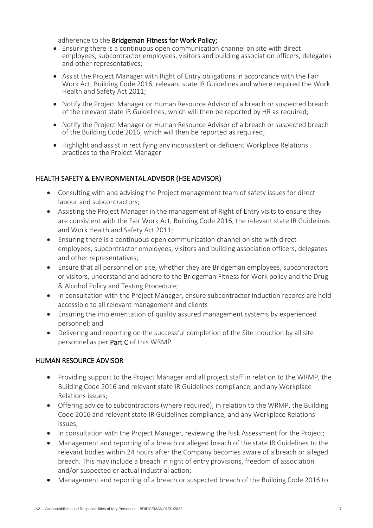adherence to the Bridgeman Fitness for Work Policy;

- Ensuring there is a continuous open communication channel on site with direct employees, subcontractor employees, visitors and building association officers, delegates and other representatives;
- Assist the Project Manager with Right of Entry obligations in accordance with the Fair Work Act, Building Code 2016, relevant state IR Guidelines and where required the Work Health and Safety Act 2011;
- Notify the Project Manager or Human Resource Advisor of a breach or suspected breach of the relevant state IR Guidelines, which will then be reported by HR as required;
- Notify the Project Manager or Human Resource Advisor of a breach or suspected breach of the Building Code 2016, which will then be reported as required;
- Highlight and assist in rectifying any inconsistent or deficient Workplace Relations practices to the Project Manager

#### HEALTH SAFETY & ENVIRONMENTAL ADVISOR (HSE ADVISOR)

- Consulting with and advising the Project management team of safety issues for direct labour and subcontractors;
- Assisting the Project Manager in the management of Right of Entry visits to ensure they are consistent with the Fair Work Act, Building Code 2016, the relevant state IR Guidelines and Work Health and Safety Act 2011;
- Ensuring there is a continuous open communication channel on site with direct employees, subcontractor employees, visitors and building association officers, delegates and other representatives;
- Ensure that all personnel on site, whether they are Bridgeman employees, subcontractors or visitors, understand and adhere to the Bridgeman Fitness for Work policy and the Drug & Alcohol Policy and Testing Procedure;
- In consultation with the Project Manager, ensure subcontractor induction records are held accessible to all relevant management and clients
- Ensuring the implementation of quality assured management systems by experienced personnel; and
- Delivering and reporting on the successful completion of the Site Induction by all site personnel as per Part C of this WRMP.

#### HUMAN RESOURCE ADVISOR

- Providing support to the Project Manager and all project staff in relation to the WRMP, the Building Code 2016 and relevant state IR Guidelines compliance, and any Workplace Relations issues;
- Offering advice to subcontractors (where required), in relation to the WRMP, the Building Code 2016 and relevant state IR Guidelines compliance, and any Workplace Relations issues;
- In consultation with the Project Manager, reviewing the Risk Assessment for the Project;
- Management and reporting of a breach or alleged breach of the state IR Guidelines to the relevant bodies within 24 hours after the Company becomes aware of a breach or alleged breach. This may include a breach in right of entry provisions, freedom of association and/or suspected or actual industrial action;
- Management and reporting of a breach or suspected breach of the Building Code 2016 to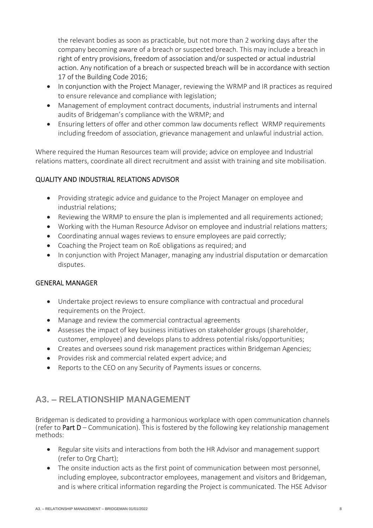the relevant bodies as soon as practicable, but not more than 2 working days after the company becoming aware of a breach or suspected breach. This may include a breach in right of entry provisions, freedom of association and/or suspected or actual industrial action. Any notification of a breach or suspected breach will be in accordance with section 17 of the Building Code 2016;

- In conjunction with the Project Manager, reviewing the WRMP and IR practices as required to ensure relevance and compliance with legislation;
- Management of employment contract documents, industrial instruments and internal audits of Bridgeman's compliance with the WRMP; and
- Ensuring letters of offer and other common law documents reflect WRMP requirements including freedom of association, grievance management and unlawful industrial action.

Where required the Human Resources team will provide; advice on employee and Industrial relations matters, coordinate all direct recruitment and assist with training and site mobilisation.

#### QUALITY AND INDUSTRIAL RELATIONS ADVISOR

- Providing strategic advice and guidance to the Project Manager on employee and industrial relations;
- Reviewing the WRMP to ensure the plan is implemented and all requirements actioned;
- Working with the Human Resource Advisor on employee and industrial relations matters;
- Coordinating annual wages reviews to ensure employees are paid correctly;
- Coaching the Project team on RoE obligations as required; and
- In conjunction with Project Manager, managing any industrial disputation or demarcation disputes.

#### GENERAL MANAGER

- Undertake project reviews to ensure compliance with contractual and procedural requirements on the Project.
- Manage and review the commercial contractual agreements
- Assesses the impact of key business initiatives on stakeholder groups (shareholder, customer, employee) and develops plans to address potential risks/opportunities;
- Creates and oversees sound risk management practices within Bridgeman Agencies;
- Provides risk and commercial related expert advice; and
- Reports to the CEO on any Security of Payments issues or concerns.

#### <span id="page-7-0"></span>**A3. – RELATIONSHIP MANAGEMENT**

Bridgeman is dedicated to providing a harmonious workplace with open communication channels (refer to Part  $D$  – Communication). This is fostered by the following key relationship management methods:

- Regular site visits and interactions from both the HR Advisor and management support (refer to Org Chart);
- The onsite induction acts as the first point of communication between most personnel, including employee, subcontractor employees, management and visitors and Bridgeman, and is where critical information regarding the Project is communicated. The HSE Advisor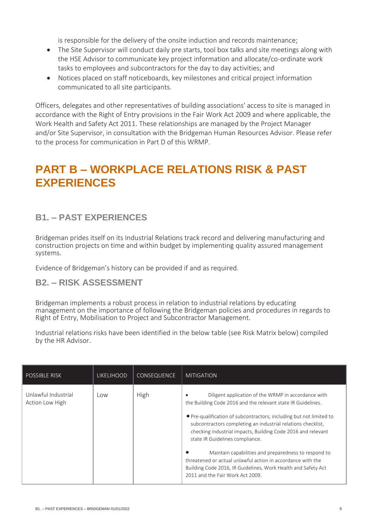is responsible for the delivery of the onsite induction and records maintenance;

- The Site Supervisor will conduct daily pre starts, tool box talks and site meetings along with the HSE Advisor to communicate key project information and allocate/co-ordinate work tasks to employees and subcontractors for the day to day activities; and
- Notices placed on staff noticeboards, key milestones and critical project information communicated to all site participants.

Officers, delegates and other representatives of building associations' access to site is managed in accordance with the Right of Entry provisions in the Fair Work Act 2009 and where applicable, the Work Health and Safety Act 2011. These relationships are managed by the Project Manager and/or Site Supervisor, in consultation with the Bridgeman Human Resources Advisor. Please refer to the process for communication in Part D of this WRMP.

### <span id="page-8-0"></span>**PART B – WORKPLACE RELATIONS RISK & PAST EXPERIENCES**

### <span id="page-8-1"></span>**B1. – PAST EXPERIENCES**

Bridgeman prides itself on its Industrial Relations track record and delivering manufacturing and construction projects on time and within budget by implementing quality assured management systems.

Evidence of Bridgeman's history can be provided if and as required.

#### <span id="page-8-2"></span>**B2. – RISK ASSESSMENT**

Bridgeman implements a robust process in relation to industrial relations by educating management on the importance of following the Bridgeman policies and procedures in regards to Right of Entry, Mobilisation to Project and Subcontractor Management.

Industrial relations risks have been identified in the below table (see Risk Matrix below) compiled by the HR Advisor.

| <b>POSSIBLE RISK</b>                   | <b>LIKELIHOOD</b> | <b>CONSEQUENCE</b> | <b>MITIGATION</b>                                                                                                                                                                                                                                                                                                                                                                                                                                                                                                                                                                         |
|----------------------------------------|-------------------|--------------------|-------------------------------------------------------------------------------------------------------------------------------------------------------------------------------------------------------------------------------------------------------------------------------------------------------------------------------------------------------------------------------------------------------------------------------------------------------------------------------------------------------------------------------------------------------------------------------------------|
| Unlawful Industrial<br>Action Low High | Low               | High               | Diligent application of the WRMP in accordance with<br>the Building Code 2016 and the relevant state IR Guidelines.<br>• Pre-qualification of subcontractors; including but not limited to<br>subcontractors completing an industrial relations checklist,<br>checking industrial impacts, Building Code 2016 and relevant<br>state IR Guidelines compliance.<br>Maintain capabilities and preparedness to respond to<br>threatened or actual unlawful action in accordance with the<br>Building Code 2016, IR Guidelines, Work Health and Safety Act<br>2011 and the Fair Work Act 2009. |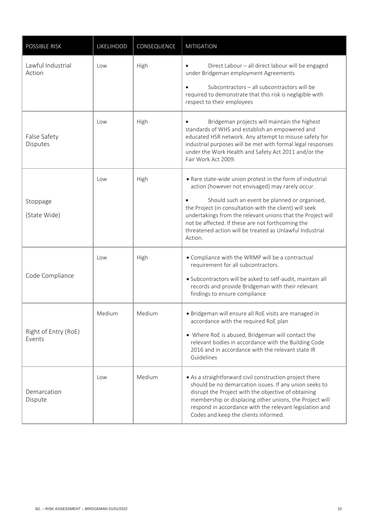| POSSIBLE RISK                  | LIKELIHOOD | CONSEQUENCE | <b>MITIGATION</b>                                                                                                                                                                                                                                                                                                                                                                                                    |
|--------------------------------|------------|-------------|----------------------------------------------------------------------------------------------------------------------------------------------------------------------------------------------------------------------------------------------------------------------------------------------------------------------------------------------------------------------------------------------------------------------|
| Lawful Industrial<br>Action    | Low        | High        | Direct Labour - all direct labour will be engaged<br>under Bridgeman employment Agreements<br>Subcontractors - all subcontractors will be<br>required to demonstrate that this risk is negligible with<br>respect to their employees                                                                                                                                                                                 |
| False Safety<br>Disputes       | Low        | High        | Bridgeman projects will maintain the highest<br>$\bullet$<br>standards of WHS and establish an empowered and<br>educated HSR network. Any attempt to misuse safety for<br>industrial purposes will be met with formal legal responses<br>under the Work Health and Safety Act 2011 and/or the<br>Fair Work Act 2009.                                                                                                 |
| Stoppage<br>(State Wide)       | Low        | High        | • Rare state-wide union protest in the form of industrial<br>action (however not envisaged) may rarely occur.<br>Should such an event be planned or organised,<br>the Project (in consultation with the client) will seek<br>undertakings from the relevant unions that the Project will<br>not be affected. If these are not forthcoming the<br>threatened action will be treated as Unlawful Industrial<br>Action. |
| Code Compliance                | Low        | High        | • Compliance with the WRMP will be a contractual<br>requirement for all subcontractors.<br>· Subcontractors will be asked to self-audit, maintain all<br>records and provide Bridgeman with their relevant<br>findings to ensure compliance                                                                                                                                                                          |
| Right of Entry (RoE)<br>Events | Medium     | Medium      | · Bridgeman will ensure all RoE visits are managed in<br>accordance with the required RoE plan<br>• Where RoE is abused, Bridgeman will contact the<br>relevant bodies in accordance with the Building Code<br>2016 and in accordance with the relevant state IR<br>Guidelines                                                                                                                                       |
| Demarcation<br>Dispute         | Low        | Medium      | • As a straightforward civil construction project there<br>should be no demarcation issues. If any union seeks to<br>disrupt the Project with the objective of obtaining<br>membership or displacing other unions, the Project will<br>respond in accordance with the relevant legislation and<br>Codes and keep the clients informed.                                                                               |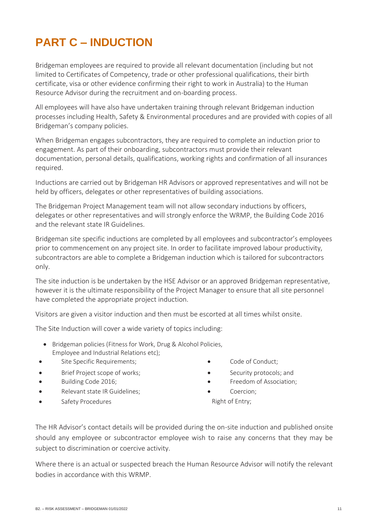## <span id="page-10-0"></span>**PART C – INDUCTION**

Bridgeman employees are required to provide all relevant documentation (including but not limited to Certificates of Competency, trade or other professional qualifications, their birth certificate, visa or other evidence confirming their right to work in Australia) to the Human Resource Advisor during the recruitment and on-boarding process.

All employees will have also have undertaken training through relevant Bridgeman induction processes including Health, Safety & Environmental procedures and are provided with copies of all Bridgeman's company policies.

When Bridgeman engages subcontractors, they are required to complete an induction prior to engagement. As part of their onboarding, subcontractors must provide their relevant documentation, personal details, qualifications, working rights and confirmation of all insurances required.

Inductions are carried out by Bridgeman HR Advisors or approved representatives and will not be held by officers, delegates or other representatives of building associations.

The Bridgeman Project Management team will not allow secondary inductions by officers, delegates or other representatives and will strongly enforce the WRMP, the Building Code 2016 and the relevant state IR Guidelines.

Bridgeman site specific inductions are completed by all employees and subcontractor's employees prior to commencement on any project site. In order to facilitate improved labour productivity, subcontractors are able to complete a Bridgeman induction which is tailored for subcontractors only.

The site induction is be undertaken by the HSE Advisor or an approved Bridgeman representative, however it is the ultimate responsibility of the Project Manager to ensure that all site personnel have completed the appropriate project induction.

Visitors are given a visitor induction and then must be escorted at all times whilst onsite.

The Site Induction will cover a wide variety of topics including:

- Bridgeman policies (Fitness for Work, Drug & Alcohol Policies, Employee and Industrial Relations etc);
- Site Specific Requirements;  $\qquad \qquad \bullet \qquad \qquad \text{Code of Conduct};$
- Brief Project scope of works; The Security protocols; and
- 
- Relevant state IR Guidelines; Coercion;
- Safety Procedures **Entry;** Right of Entry;
- 
- 
- Building Code 2016; Freedom of Association;
	-
	-

The HR Advisor's contact details will be provided during the on-site induction and published onsite should any employee or subcontractor employee wish to raise any concerns that they may be subject to discrimination or coercive activity.

Where there is an actual or suspected breach the Human Resource Advisor will notify the relevant bodies in accordance with this WRMP.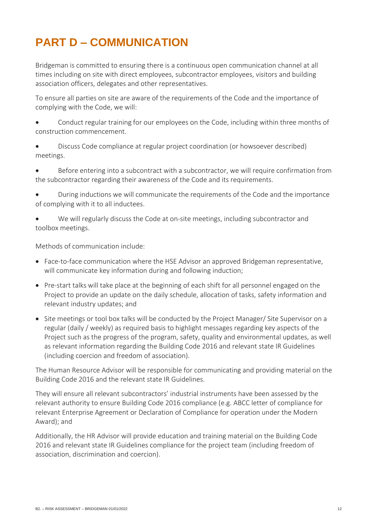## <span id="page-11-0"></span>**PART D – COMMUNICATION**

Bridgeman is committed to ensuring there is a continuous open communication channel at all times including on site with direct employees, subcontractor employees, visitors and building association officers, delegates and other representatives.

To ensure all parties on site are aware of the requirements of the Code and the importance of complying with the Code, we will:

- Conduct regular training for our employees on the Code, including within three months of construction commencement.
- Discuss Code compliance at regular project coordination (or howsoever described) meetings.
- Before entering into a subcontract with a subcontractor, we will require confirmation from the subcontractor regarding their awareness of the Code and its requirements.
- During inductions we will communicate the requirements of the Code and the importance of complying with it to all inductees.
- We will regularly discuss the Code at on-site meetings, including subcontractor and toolbox meetings.

Methods of communication include:

- Face-to-face communication where the HSE Advisor an approved Bridgeman representative, will communicate key information during and following induction;
- Pre-start talks will take place at the beginning of each shift for all personnel engaged on the Project to provide an update on the daily schedule, allocation of tasks, safety information and relevant industry updates; and
- Site meetings or tool box talks will be conducted by the Project Manager/ Site Supervisor on a regular (daily / weekly) as required basis to highlight messages regarding key aspects of the Project such as the progress of the program, safety, quality and environmental updates, as well as relevant information regarding the Building Code 2016 and relevant state IR Guidelines (including coercion and freedom of association).

The Human Resource Advisor will be responsible for communicating and providing material on the Building Code 2016 and the relevant state IR Guidelines.

They will ensure all relevant subcontractors' industrial instruments have been assessed by the relevant authority to ensure Building Code 2016 compliance (e.g. ABCC letter of compliance for relevant Enterprise Agreement or Declaration of Compliance for operation under the Modern Award); and

Additionally, the HR Advisor will provide education and training material on the Building Code 2016 and relevant state IR Guidelines compliance for the project team (including freedom of association, discrimination and coercion).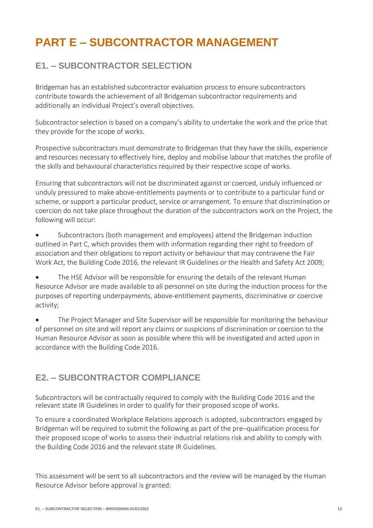## <span id="page-12-0"></span>**PART E – SUBCONTRACTOR MANAGEMENT**

### <span id="page-12-1"></span>**E1. – SUBCONTRACTOR SELECTION**

Bridgeman has an established subcontractor evaluation process to ensure subcontractors contribute towards the achievement of all Bridgeman subcontractor requirements and additionally an individual Project's overall objectives.

Subcontractor selection is based on a company's ability to undertake the work and the price that they provide for the scope of works.

Prospective subcontractors must demonstrate to Bridgeman that they have the skills, experience and resources necessary to effectively hire, deploy and mobilise labour that matches the profile of the skills and behavioural characteristics required by their respective scope of works.

Ensuring that subcontractors will not be discriminated against or coerced, unduly influenced or unduly pressured to make above-entitlements payments or to contribute to a particular fund or scheme, or support a particular product, service or arrangement. To ensure that discrimination or coercion do not take place throughout the duration of the subcontractors work on the Project, the following will occur:

Subcontractors (both management and employees) attend the Bridgeman induction outlined in Part C, which provides them with information regarding their right to freedom of association and their obligations to report activity or behaviour that may contravene the Fair Work Act, the Building Code 2016, the relevant IR Guidelines or the Health and Safety Act 2009;

The HSE Advisor will be responsible for ensuring the details of the relevant Human Resource Advisor are made available to all personnel on site during the induction process for the purposes of reporting underpayments, above-entitlement payments, discriminative or coercive activity;

• The Project Manager and Site Supervisor will be responsible for monitoring the behaviour of personnel on site and will report any claims or suspicions of discrimination or coercion to the Human Resource Advisor as soon as possible where this will be investigated and acted upon in accordance with the Building Code 2016.

### <span id="page-12-2"></span>**E2. – SUBCONTRACTOR COMPLIANCE**

Subcontractors will be contractually required to comply with the Building Code 2016 and the relevant state IR Guidelines in order to qualify for their proposed scope of works.

To ensure a coordinated Workplace Relations approach is adopted, subcontractors engaged by Bridgeman will be required to submit the following as part of the pre–qualification process for their proposed scope of works to assess their industrial relations risk and ability to comply with the Building Code 2016 and the relevant state IR Guidelines.

This assessment will be sent to all subcontractors and the review will be managed by the Human Resource Advisor before approval is granted: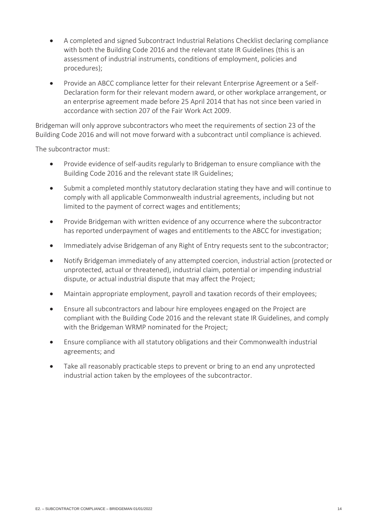- A completed and signed Subcontract Industrial Relations Checklist declaring compliance with both the Building Code 2016 and the relevant state IR Guidelines (this is an assessment of industrial instruments, conditions of employment, policies and procedures);
- Provide an ABCC compliance letter for their relevant Enterprise Agreement or a Self-Declaration form for their relevant modern award, or other workplace arrangement, or an enterprise agreement made before 25 April 2014 that has not since been varied in accordance with section 207 of the Fair Work Act 2009.

Bridgeman will only approve subcontractors who meet the requirements of section 23 of the Building Code 2016 and will not move forward with a subcontract until compliance is achieved.

The subcontractor must:

- Provide evidence of self-audits regularly to Bridgeman to ensure compliance with the Building Code 2016 and the relevant state IR Guidelines;
- Submit a completed monthly statutory declaration stating they have and will continue to comply with all applicable Commonwealth industrial agreements, including but not limited to the payment of correct wages and entitlements;
- Provide Bridgeman with written evidence of any occurrence where the subcontractor has reported underpayment of wages and entitlements to the ABCC for investigation;
- Immediately advise Bridgeman of any Right of Entry requests sent to the subcontractor;
- Notify Bridgeman immediately of any attempted coercion, industrial action (protected or unprotected, actual or threatened), industrial claim, potential or impending industrial dispute, or actual industrial dispute that may affect the Project;
- Maintain appropriate employment, payroll and taxation records of their employees;
- Ensure all subcontractors and labour hire employees engaged on the Project are compliant with the Building Code 2016 and the relevant state IR Guidelines, and comply with the Bridgeman WRMP nominated for the Project;
- Ensure compliance with all statutory obligations and their Commonwealth industrial agreements; and
- Take all reasonably practicable steps to prevent or bring to an end any unprotected industrial action taken by the employees of the subcontractor.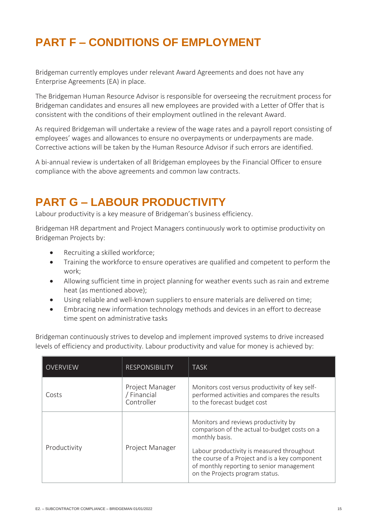## <span id="page-14-0"></span>**PART F – CONDITIONS OF EMPLOYMENT**

Bridgeman currently employes under relevant Award Agreements and does not have any Enterprise Agreements (EA) in place.

The Bridgeman Human Resource Advisor is responsible for overseeing the recruitment process for Bridgeman candidates and ensures all new employees are provided with a Letter of Offer that is consistent with the conditions of their employment outlined in the relevant Award.

As required Bridgeman will undertake a review of the wage rates and a payroll report consisting of employees' wages and allowances to ensure no overpayments or underpayments are made. Corrective actions will be taken by the Human Resource Advisor if such errors are identified.

A bi-annual review is undertaken of all Bridgeman employees by the Financial Officer to ensure compliance with the above agreements and common law contracts.

### <span id="page-14-1"></span>**PART G – LABOUR PRODUCTIVITY**

Labour productivity is a key measure of Bridgeman's business efficiency.

Bridgeman HR department and Project Managers continuously work to optimise productivity on Bridgeman Projects by:

- Recruiting a skilled workforce;
- Training the workforce to ensure operatives are qualified and competent to perform the work;
- Allowing sufficient time in project planning for weather events such as rain and extreme heat (as mentioned above);
- Using reliable and well-known suppliers to ensure materials are delivered on time;
- Embracing new information technology methods and devices in an effort to decrease time spent on administrative tasks

Bridgeman continuously strives to develop and implement improved systems to drive increased levels of efficiency and productivity. Labour productivity and value for money is achieved by:

| <b>OVERVIEW</b> | <b>RESPONSIBILITY</b>                        | <b>TASK</b>                                                                                                                                                                                                                                                                             |
|-----------------|----------------------------------------------|-----------------------------------------------------------------------------------------------------------------------------------------------------------------------------------------------------------------------------------------------------------------------------------------|
| Costs           | Project Manager<br>/ Financial<br>Controller | Monitors cost versus productivity of key self-<br>performed activities and compares the results<br>to the forecast budget cost                                                                                                                                                          |
| Productivity    | Project Manager                              | Monitors and reviews productivity by<br>comparison of the actual to-budget costs on a<br>monthly basis.<br>Labour productivity is measured throughout<br>the course of a Project and is a key component<br>of monthly reporting to senior management<br>on the Projects program status. |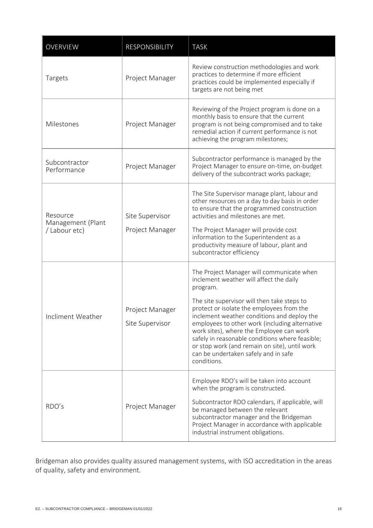| <b>OVERVIEW</b>                                | RESPONSIBILITY                     | <b>TASK</b>                                                                                                                                                                                                                                                                                                                                                                                                                                                                                          |
|------------------------------------------------|------------------------------------|------------------------------------------------------------------------------------------------------------------------------------------------------------------------------------------------------------------------------------------------------------------------------------------------------------------------------------------------------------------------------------------------------------------------------------------------------------------------------------------------------|
| Targets                                        | Project Manager                    | Review construction methodologies and work<br>practices to determine if more efficient<br>practices could be implemented especially if<br>targets are not being met                                                                                                                                                                                                                                                                                                                                  |
| Milestones                                     | Project Manager                    | Reviewing of the Project program is done on a<br>monthly basis to ensure that the current<br>program is not being compromised and to take<br>remedial action if current performance is not<br>achieving the program milestones;                                                                                                                                                                                                                                                                      |
| Subcontractor<br>Performance                   | Project Manager                    | Subcontractor performance is managed by the<br>Project Manager to ensure on-time, on-budget<br>delivery of the subcontract works package;                                                                                                                                                                                                                                                                                                                                                            |
| Resource<br>Management (Plant<br>/ Labour etc) | Site Supervisor<br>Project Manager | The Site Supervisor manage plant, labour and<br>other resources on a day to day basis in order<br>to ensure that the programmed construction<br>activities and milestones are met.<br>The Project Manager will provide cost<br>information to the Superintendent as a<br>productivity measure of labour, plant and<br>subcontractor efficiency                                                                                                                                                       |
| Incliment Weather                              | Project Manager<br>Site Supervisor | The Project Manager will communicate when<br>inclement weather will affect the daily<br>program.<br>The site supervisor will then take steps to<br>protect or isolate the employees from the<br>inclement weather conditions and deploy the<br>employees to other work (including alternative<br>work sites), where the Employee can work<br>safely in reasonable conditions where feasible;<br>or stop work (and remain on site), until work<br>can be undertaken safely and in safe<br>conditions. |
| RDO's                                          | Project Manager                    | Employee RDO's will be taken into account<br>when the program is constructed.<br>Subcontractor RDO calendars, if applicable, will<br>be managed between the relevant<br>subcontractor manager and the Bridgeman<br>Project Manager in accordance with applicable<br>industrial instrument obligations.                                                                                                                                                                                               |

Bridgeman also provides quality assured management systems, with ISO accreditation in the areas of quality, safety and environment.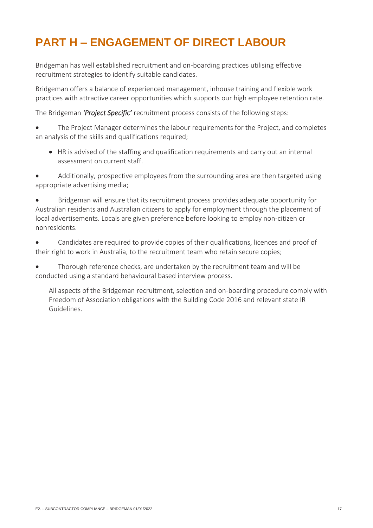## <span id="page-16-0"></span>**PART H – ENGAGEMENT OF DIRECT LABOUR**

Bridgeman has well established recruitment and on-boarding practices utilising effective recruitment strategies to identify suitable candidates.

Bridgeman offers a balance of experienced management, inhouse training and flexible work practices with attractive career opportunities which supports our high employee retention rate.

The Bridgeman *'Project Specific'* recruitment process consists of the following steps:

The Project Manager determines the labour requirements for the Project, and completes an analysis of the skills and qualifications required;

• HR is advised of the staffing and qualification requirements and carry out an internal assessment on current staff.

• Additionally, prospective employees from the surrounding area are then targeted using appropriate advertising media;

• Bridgeman will ensure that its recruitment process provides adequate opportunity for Australian residents and Australian citizens to apply for employment through the placement of local advertisements. Locals are given preference before looking to employ non-citizen or nonresidents.

• Candidates are required to provide copies of their qualifications, licences and proof of their right to work in Australia, to the recruitment team who retain secure copies;

• Thorough reference checks, are undertaken by the recruitment team and will be conducted using a standard behavioural based interview process.

All aspects of the Bridgeman recruitment, selection and on-boarding procedure comply with Freedom of Association obligations with the Building Code 2016 and relevant state IR Guidelines.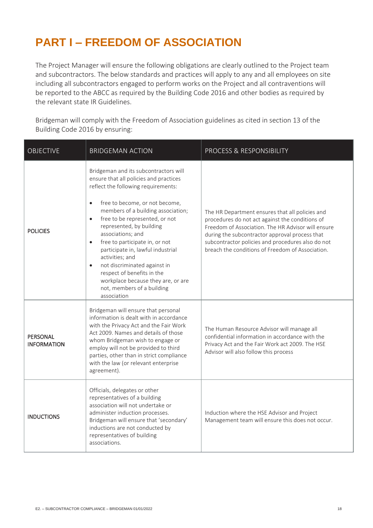## <span id="page-17-0"></span>**PART I – FREEDOM OF ASSOCIATION**

The Project Manager will ensure the following obligations are clearly outlined to the Project team and subcontractors. The below standards and practices will apply to any and all employees on site including all subcontractors engaged to perform works on the Project and all contraventions will be reported to the ABCC as required by the Building Code 2016 and other bodies as required by the relevant state IR Guidelines.

Bridgeman will comply with the Freedom of Association guidelines as cited in section 13 of the Building Code 2016 by ensuring:

| <b>OBJECTIVE</b>               | <b>BRIDGEMAN ACTION</b>                                                                                                                                                                                                                                                                                                                                                                                                                                                                                                                                                          | PROCESS & RESPONSIBILITY                                                                                                                                                                                                                                                                                            |
|--------------------------------|----------------------------------------------------------------------------------------------------------------------------------------------------------------------------------------------------------------------------------------------------------------------------------------------------------------------------------------------------------------------------------------------------------------------------------------------------------------------------------------------------------------------------------------------------------------------------------|---------------------------------------------------------------------------------------------------------------------------------------------------------------------------------------------------------------------------------------------------------------------------------------------------------------------|
| <b>POLICIES</b>                | Bridgeman and its subcontractors will<br>ensure that all policies and practices<br>reflect the following requirements:<br>free to become, or not become,<br>$\bullet$<br>members of a building association;<br>free to be represented, or not<br>$\bullet$<br>represented, by building<br>associations; and<br>free to participate in, or not<br>$\bullet$<br>participate in, lawful industrial<br>activities; and<br>not discriminated against in<br>$\bullet$<br>respect of benefits in the<br>workplace because they are, or are<br>not, members of a building<br>association | The HR Department ensures that all policies and<br>procedures do not act against the conditions of<br>Freedom of Association. The HR Advisor will ensure<br>during the subcontractor approval process that<br>subcontractor policies and procedures also do not<br>breach the conditions of Freedom of Association. |
| PERSONAL<br><b>INFORMATION</b> | Bridgeman will ensure that personal<br>information is dealt with in accordance<br>with the Privacy Act and the Fair Work<br>Act 2009. Names and details of those<br>whom Bridgeman wish to engage or<br>employ will not be provided to third<br>parties, other than in strict compliance<br>with the law (or relevant enterprise<br>agreement).                                                                                                                                                                                                                                  | The Human Resource Advisor will manage all<br>confidential information in accordance with the<br>Privacy Act and the Fair Work act 2009. The HSE<br>Advisor will also follow this process                                                                                                                           |
| <b>INDUCTIONS</b>              | Officials, delegates or other<br>representatives of a building<br>association will not undertake or<br>administer induction processes.<br>Bridgeman will ensure that 'secondary'<br>inductions are not conducted by<br>representatives of building<br>associations.                                                                                                                                                                                                                                                                                                              | Induction where the HSE Advisor and Project<br>Management team will ensure this does not occur.                                                                                                                                                                                                                     |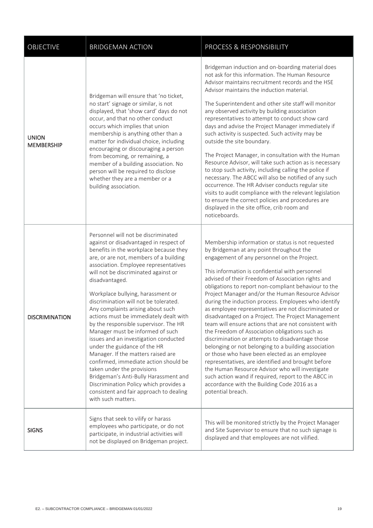| OBJECTIVE                         | <b>BRIDGEMAN ACTION</b>                                                                                                                                                                                                                                                                                                                                                                                                                                                                                                                                                                                                                                                                                                                                                                                                                                  | PROCESS & RESPONSIBILITY                                                                                                                                                                                                                                                                                                                                                                                                                                                                                                                                                                                                                                                                                                                                                                                                                                                                                                                                                                                                                             |
|-----------------------------------|----------------------------------------------------------------------------------------------------------------------------------------------------------------------------------------------------------------------------------------------------------------------------------------------------------------------------------------------------------------------------------------------------------------------------------------------------------------------------------------------------------------------------------------------------------------------------------------------------------------------------------------------------------------------------------------------------------------------------------------------------------------------------------------------------------------------------------------------------------|------------------------------------------------------------------------------------------------------------------------------------------------------------------------------------------------------------------------------------------------------------------------------------------------------------------------------------------------------------------------------------------------------------------------------------------------------------------------------------------------------------------------------------------------------------------------------------------------------------------------------------------------------------------------------------------------------------------------------------------------------------------------------------------------------------------------------------------------------------------------------------------------------------------------------------------------------------------------------------------------------------------------------------------------------|
| <b>UNION</b><br><b>MEMBERSHIP</b> | Bridgeman will ensure that 'no ticket,<br>no start' signage or similar, is not<br>displayed, that 'show card' days do not<br>occur, and that no other conduct<br>occurs which implies that union<br>membership is anything other than a<br>matter for individual choice, including<br>encouraging or discouraging a person<br>from becoming, or remaining, a<br>member of a building association. No<br>person will be required to disclose<br>whether they are a member or a<br>building association.                                                                                                                                                                                                                                                                                                                                                   | Bridgeman induction and on-boarding material does<br>not ask for this information. The Human Resource<br>Advisor maintains recruitment records and the HSE<br>Advisor maintains the induction material.<br>The Superintendent and other site staff will monitor<br>any observed activity by building association<br>representatives to attempt to conduct show card<br>days and advise the Project Manager immediately if<br>such activity is suspected. Such activity may be<br>outside the site boundary.<br>The Project Manager, in consultation with the Human<br>Resource Advisor, will take such action as is necessary<br>to stop such activity, including calling the police if<br>necessary. The ABCC will also be notified of any such<br>occurrence. The HR Adviser conducts regular site<br>visits to audit compliance with the relevant legislation<br>to ensure the correct policies and procedures are<br>displayed in the site office, crib room and<br>noticeboards.                                                                |
| <b>DISCRIMINATION</b>             | Personnel will not be discriminated<br>against or disadvantaged in respect of<br>benefits in the workplace because they<br>are, or are not, members of a building<br>association. Employee representatives<br>will not be discriminated against or<br>disadvantaged.<br>Workplace bullying, harassment or<br>discrimination will not be tolerated.<br>Any complaints arising about such<br>actions must be immediately dealt with<br>by the responsible supervisor. The HR<br>Manager must be informed of such<br>issues and an investigation conducted<br>under the guidance of the HR<br>Manager. If the matters raised are<br>confirmed, immediate action should be<br>taken under the provisions<br>Bridgeman's Anti-Bully Harassment and<br>Discrimination Policy which provides a<br>consistent and fair approach to dealing<br>with such matters. | Membership information or status is not requested<br>by Bridgeman at any point throughout the<br>engagement of any personnel on the Project.<br>This information is confidential with personnel<br>advised of their Freedom of Association rights and<br>obligations to report non-compliant behaviour to the<br>Project Manager and/or the Human Resource Advisor<br>during the induction process. Employees who identify<br>as employee representatives are not discriminated or<br>disadvantaged on a Project. The Project Management<br>team will ensure actions that are not consistent with<br>the Freedom of Association obligations such as<br>discrimination or attempts to disadvantage those<br>belonging or not belonging to a building association<br>or those who have been elected as an employee<br>representatives, are identified and brought before<br>the Human Resource Advisor who will investigate<br>such action wand if required, report to the ABCC in<br>accordance with the Building Code 2016 as a<br>potential breach. |
| <b>SIGNS</b>                      | Signs that seek to vilify or harass<br>employees who participate, or do not<br>participate, in industrial activities will<br>not be displayed on Bridgeman project.                                                                                                                                                                                                                                                                                                                                                                                                                                                                                                                                                                                                                                                                                      | This will be monitored strictly by the Project Manager<br>and Site Supervisor to ensure that no such signage is<br>displayed and that employees are not vilified.                                                                                                                                                                                                                                                                                                                                                                                                                                                                                                                                                                                                                                                                                                                                                                                                                                                                                    |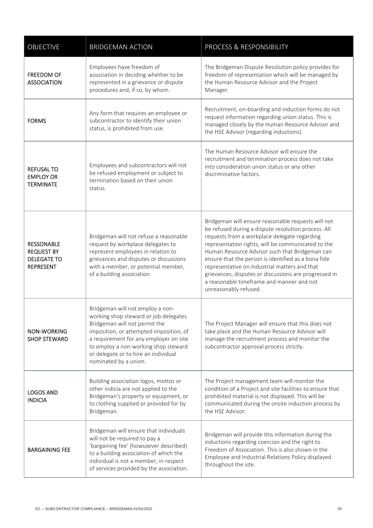| <b>OBJECTIVE</b>                                                                 | <b>BRIDGEMAN ACTION</b>                                                                                                                                                                                                                                                                                   | PROCESS & RESPONSIBILITY                                                                                                                                                                                                                                                                                                                                                                                                                                                                                 |
|----------------------------------------------------------------------------------|-----------------------------------------------------------------------------------------------------------------------------------------------------------------------------------------------------------------------------------------------------------------------------------------------------------|----------------------------------------------------------------------------------------------------------------------------------------------------------------------------------------------------------------------------------------------------------------------------------------------------------------------------------------------------------------------------------------------------------------------------------------------------------------------------------------------------------|
| <b>FREEDOM OF</b><br><b>ASSOCIATION</b>                                          | Employees have freedom of<br>association in deciding whether to be<br>represented in a grievance or dispute<br>procedures and, if so, by whom.                                                                                                                                                            | The Bridgeman Dispute Resolution policy provides for<br>freedom of representation which will be managed by<br>the Human Resource Advisor and the Project<br>Manager.                                                                                                                                                                                                                                                                                                                                     |
| <b>FORMS</b>                                                                     | Any form that requires an employee or<br>subcontractor to identify their union<br>status, is prohibited from use.                                                                                                                                                                                         | Recruitment, on-boarding and induction forms do not<br>request information regarding union status. This is<br>managed closely by the Human Resource Advisor and<br>the HSE Advisor (regarding inductions).                                                                                                                                                                                                                                                                                               |
| <b>REFUSAL TO</b><br><b>EMPLOY OR</b><br><b>TERMINATE</b>                        | Employees and subcontractors will not<br>be refused employment or subject to<br>termination based on their union<br>status.                                                                                                                                                                               | The Human Resource Advisor will ensure the<br>recruitment and termination process does not take<br>into consideration union status or any other<br>discriminative factors.                                                                                                                                                                                                                                                                                                                               |
| <b>RESSONABLE</b><br><b>REQUEST BY</b><br><b>DELEGATE TO</b><br><b>REPRESENT</b> | Bridgeman will not refuse a reasonable<br>request by workplace delegates to<br>represent employees in relation to<br>grievances and disputes or discussions<br>with a member, or potential member,<br>of a building association.                                                                          | Bridgeman will ensure reasonable requests will not<br>be refused during a dispute resolution process. All<br>requests from a workplace delegate regarding<br>representation rights, will be communicated to the<br>Human Resource Advisor such that Bridgeman can<br>ensure that the person is identified as a bona fide<br>representative on industrial matters and that<br>grievances, disputes or discussions are progressed in<br>a reasonable timeframe and manner and not<br>unreasonably refused. |
| <b>NON-WORKING</b><br><b>SHOP STEWARD</b>                                        | Bridgeman will not employ a non-<br>working shop steward or job delegates.<br>Bridgeman will not permit the<br>imposition, or attempted imposition, of<br>a requirement for any employer on site<br>to employ a non-working shop steward<br>or delegate or to hire an individual<br>nominated by a union. | The Project Manager will ensure that this does not<br>take place and the Human Resource Advisor will<br>manage the recruitment process and monitor the<br>subcontractor approval process strictly.                                                                                                                                                                                                                                                                                                       |
| <b>LOGOS AND</b><br><b>INDICIA</b>                                               | Building association logos, mottos or<br>other indicia are not applied to the<br>Bridgeman's property or equipment, or<br>to clothing supplied or provided for by<br>Bridgeman.                                                                                                                           | The Project management team will monitor the<br>condition of a Project and site facilities to ensure that<br>prohibited material is not displayed. This will be<br>communicated during the onsite induction process by<br>the HSE Advisor.                                                                                                                                                                                                                                                               |
| <b>BARGAINING FEE</b>                                                            | Bridgeman will ensure that individuals<br>will not be required to pay a<br>'bargaining fee' (howsoever described)<br>to a building association of which the<br>individual is not a member, in respect<br>of services provided by the association.                                                         | Bridgeman will provide this information during the<br>inductions regarding coercion and the right to<br>Freedom of Association. This is also shown in the<br>Employee and Industrial Relations Policy displayed<br>throughout the site.                                                                                                                                                                                                                                                                  |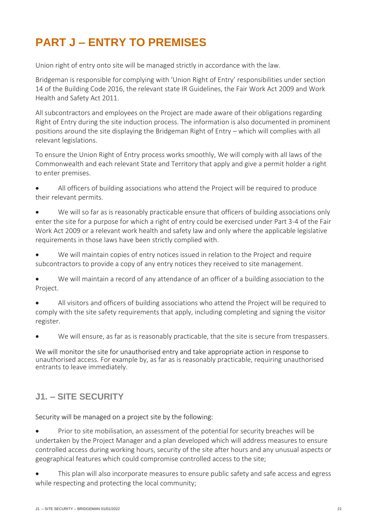## <span id="page-20-0"></span>**PART J – ENTRY TO PREMISES**

Union right of entry onto site will be managed strictly in accordance with the law.

Bridgeman is responsible for complying with 'Union Right of Entry' responsibilities under section 14 of the Building Code 2016, the relevant state IR Guidelines, the Fair Work Act 2009 and Work Health and Safety Act 2011.

All subcontractors and employees on the Project are made aware of their obligations regarding Right of Entry during the site induction process. The information is also documented in prominent positions around the site displaying the Bridgeman Right of Entry – which will complies with all relevant legislations.

To ensure the Union Right of Entry process works smoothly, We will comply with all laws of the Commonwealth and each relevant State and Territory that apply and give a permit holder a right to enter premises.

• All officers of building associations who attend the Project will be required to produce their relevant permits.

• We will so far as is reasonably practicable ensure that officers of building associations only enter the site for a purpose for which a right of entry could be exercised under Part 3-4 of the Fair Work Act 2009 or a relevant work health and safety law and only where the applicable legislative requirements in those laws have been strictly complied with.

• We will maintain copies of entry notices issued in relation to the Project and require subcontractors to provide a copy of any entry notices they received to site management.

• We will maintain a record of any attendance of an officer of a building association to the Project.

• All visitors and officers of building associations who attend the Project will be required to comply with the site safety requirements that apply, including completing and signing the visitor register.

We will ensure, as far as is reasonably practicable, that the site is secure from trespassers.

We will monitor the site for unauthorised entry and take appropriate action in response to unauthorised access. For example by, as far as is reasonably practicable, requiring unauthorised entrants to leave immediately.

#### <span id="page-20-1"></span>**J1. – SITE SECURITY**

Security will be managed on a project site by the following:

• Prior to site mobilisation, an assessment of the potential for security breaches will be undertaken by the Project Manager and a plan developed which will address measures to ensure controlled access during working hours, security of the site after hours and any unusual aspects or geographical features which could compromise controlled access to the site;

This plan will also incorporate measures to ensure public safety and safe access and egress while respecting and protecting the local community;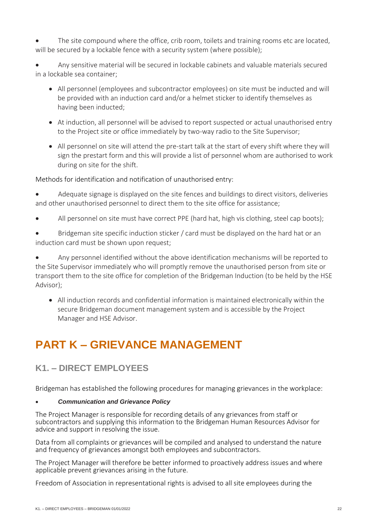The site compound where the office, crib room, toilets and training rooms etc are located, will be secured by a lockable fence with a security system (where possible);

• Any sensitive material will be secured in lockable cabinets and valuable materials secured in a lockable sea container;

- All personnel (employees and subcontractor employees) on site must be inducted and will be provided with an induction card and/or a helmet sticker to identify themselves as having been inducted;
- At induction, all personnel will be advised to report suspected or actual unauthorised entry to the Project site or office immediately by two-way radio to the Site Supervisor;
- All personnel on site will attend the pre-start talk at the start of every shift where they will sign the prestart form and this will provide a list of personnel whom are authorised to work during on site for the shift.

Methods for identification and notification of unauthorised entry:

• Adequate signage is displayed on the site fences and buildings to direct visitors, deliveries and other unauthorised personnel to direct them to the site office for assistance;

All personnel on site must have correct PPE (hard hat, high vis clothing, steel cap boots);

Bridgeman site specific induction sticker / card must be displayed on the hard hat or an induction card must be shown upon request;

• Any personnel identified without the above identification mechanisms will be reported to the Site Supervisor immediately who will promptly remove the unauthorised person from site or transport them to the site office for completion of the Bridgeman Induction (to be held by the HSE Advisor);

• All induction records and confidential information is maintained electronically within the secure Bridgeman document management system and is accessible by the Project Manager and HSE Advisor.

## <span id="page-21-0"></span>**PART K – GRIEVANCE MANAGEMENT**

### <span id="page-21-1"></span>**K1. – DIRECT EMPLOYEES**

Bridgeman has established the following procedures for managing grievances in the workplace:

#### • *Communication and Grievance Policy*

The Project Manager is responsible for recording details of any grievances from staff or subcontractors and supplying this information to the Bridgeman Human Resources Advisor for advice and support in resolving the issue.

Data from all complaints or grievances will be compiled and analysed to understand the nature and frequency of grievances amongst both employees and subcontractors.

The Project Manager will therefore be better informed to proactively address issues and where applicable prevent grievances arising in the future.

Freedom of Association in representational rights is advised to all site employees during the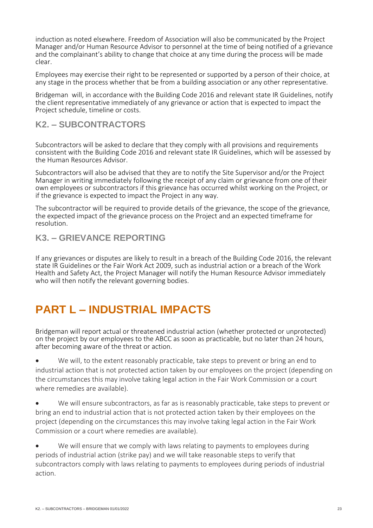induction as noted elsewhere. Freedom of Association will also be communicated by the Project Manager and/or Human Resource Advisor to personnel at the time of being notified of a grievance and the complainant's ability to change that choice at any time during the process will be made clear.

Employees may exercise their right to be represented or supported by a person of their choice, at any stage in the process whether that be from a building association or any other representative.

Bridgeman will, in accordance with the Building Code 2016 and relevant state IR Guidelines, notify the client representative immediately of any grievance or action that is expected to impact the Project schedule, timeline or costs.

#### <span id="page-22-0"></span>**K2. – SUBCONTRACTORS**

Subcontractors will be asked to declare that they comply with all provisions and requirements consistent with the Building Code 2016 and relevant state IR Guidelines, which will be assessed by the Human Resources Advisor.

Subcontractors will also be advised that they are to notify the Site Supervisor and/or the Project Manager in writing immediately following the receipt of any claim or grievance from one of their own employees or subcontractors if this grievance has occurred whilst working on the Project, or if the grievance is expected to impact the Project in any way.

The subcontractor will be required to provide details of the grievance, the scope of the grievance, the expected impact of the grievance process on the Project and an expected timeframe for resolution.

#### <span id="page-22-1"></span>**K3. – GRIEVANCE REPORTING**

If any grievances or disputes are likely to result in a breach of the Building Code 2016, the relevant state IR Guidelines or the Fair Work Act 2009, such as industrial action or a breach of the Work Health and Safety Act, the Project Manager will notify the Human Resource Advisor immediately who will then notify the relevant governing bodies.

### <span id="page-22-2"></span>**PART L – INDUSTRIAL IMPACTS**

Bridgeman will report actual or threatened industrial action (whether protected or unprotected) on the project by our employees to the ABCC as soon as practicable, but no later than 24 hours, after becoming aware of the threat or action.

• We will, to the extent reasonably practicable, take steps to prevent or bring an end to industrial action that is not protected action taken by our employees on the project (depending on the circumstances this may involve taking legal action in the Fair Work Commission or a court where remedies are available).

We will ensure subcontractors, as far as is reasonably practicable, take steps to prevent or bring an end to industrial action that is not protected action taken by their employees on the project (depending on the circumstances this may involve taking legal action in the Fair Work Commission or a court where remedies are available).

We will ensure that we comply with laws relating to payments to employees during periods of industrial action (strike pay) and we will take reasonable steps to verify that subcontractors comply with laws relating to payments to employees during periods of industrial action.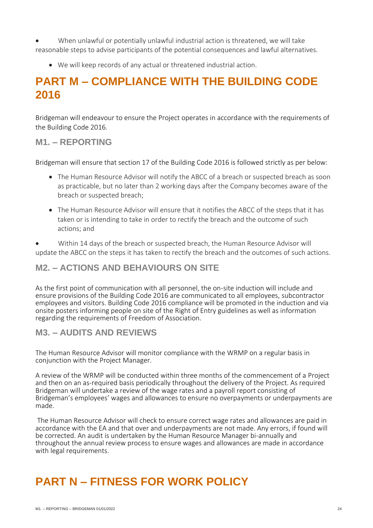• When unlawful or potentially unlawful industrial action is threatened, we will take reasonable steps to advise participants of the potential consequences and lawful alternatives.

• We will keep records of any actual or threatened industrial action.

### <span id="page-23-0"></span>**PART M – COMPLIANCE WITH THE BUILDING CODE 2016**

Bridgeman will endeavour to ensure the Project operates in accordance with the requirements of the Building Code 2016.

#### <span id="page-23-1"></span>**M1. – REPORTING**

Bridgeman will ensure that section 17 of the Building Code 2016 is followed strictly as per below:

- The Human Resource Advisor will notify the ABCC of a breach or suspected breach as soon as practicable, but no later than 2 working days after the Company becomes aware of the breach or suspected breach;
- The Human Resource Advisor will ensure that it notifies the ABCC of the steps that it has taken or is intending to take in order to rectify the breach and the outcome of such actions; and

• Within 14 days of the breach or suspected breach, the Human Resource Advisor will update the ABCC on the steps it has taken to rectify the breach and the outcomes of such actions.

#### <span id="page-23-2"></span>**M2. – ACTIONS AND BEHAVIOURS ON SITE**

As the first point of communication with all personnel, the on-site induction will include and ensure provisions of the Building Code 2016 are communicated to all employees, subcontractor employees and visitors. Building Code 2016 compliance will be promoted in the induction and via onsite posters informing people on site of the Right of Entry guidelines as well as information regarding the requirements of Freedom of Association.

#### <span id="page-23-3"></span>**M3. – AUDITS AND REVIEWS**

The Human Resource Advisor will monitor compliance with the WRMP on a regular basis in conjunction with the Project Manager.

A review of the WRMP will be conducted within three months of the commencement of a Project and then on an as-required basis periodically throughout the delivery of the Project. As required Bridgeman will undertake a review of the wage rates and a payroll report consisting of Bridgeman's employees' wages and allowances to ensure no overpayments or underpayments are made.

The Human Resource Advisor will check to ensure correct wage rates and allowances are paid in accordance with the EA and that over and underpayments are not made. Any errors, if found will be corrected. An audit is undertaken by the Human Resource Manager bi-annually and throughout the annual review process to ensure wages and allowances are made in accordance with legal requirements.

### <span id="page-23-4"></span>**PART N – FITNESS FOR WORK POLICY**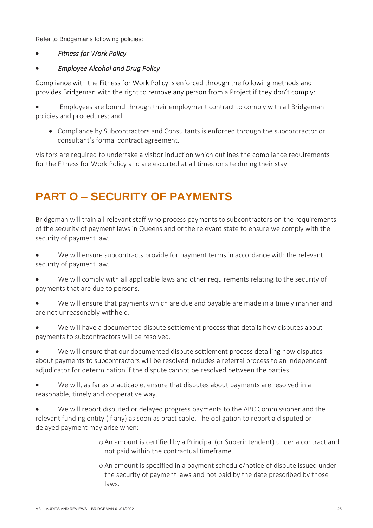Refer to Bridgemans following policies:

• *Fitness for Work Policy* 

#### • *Employee Alcohol and Drug Policy*

Compliance with the Fitness for Work Policy is enforced through the following methods and provides Bridgeman with the right to remove any person from a Project if they don't comply:

• Employees are bound through their employment contract to comply with all Bridgeman policies and procedures; and

• Compliance by Subcontractors and Consultants is enforced through the subcontractor or consultant's formal contract agreement.

Visitors are required to undertake a visitor induction which outlines the compliance requirements for the Fitness for Work Policy and are escorted at all times on site during their stay.

## <span id="page-24-0"></span>**PART O – SECURITY OF PAYMENTS**

Bridgeman will train all relevant staff who process payments to subcontractors on the requirements of the security of payment laws in Queensland or the relevant state to ensure we comply with the security of payment law.

- We will ensure subcontracts provide for payment terms in accordance with the relevant security of payment law.
- We will comply with all applicable laws and other requirements relating to the security of payments that are due to persons.
- We will ensure that payments which are due and payable are made in a timely manner and are not unreasonably withheld.
- We will have a documented dispute settlement process that details how disputes about payments to subcontractors will be resolved.

• We will ensure that our documented dispute settlement process detailing how disputes about payments to subcontractors will be resolved includes a referral process to an independent adjudicator for determination if the dispute cannot be resolved between the parties.

- We will, as far as practicable, ensure that disputes about payments are resolved in a reasonable, timely and cooperative way.
- We will report disputed or delayed progress payments to the ABC Commissioner and the relevant funding entity (if any) as soon as practicable. The obligation to report a disputed or delayed payment may arise when:
	- oAn amount is certified by a Principal (or Superintendent) under a contract and not paid within the contractual timeframe.
	- oAn amount is specified in a payment schedule/notice of dispute issued under the security of payment laws and not paid by the date prescribed by those laws.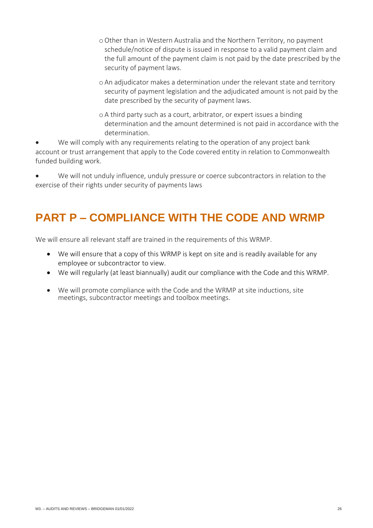- oOther than in Western Australia and the Northern Territory, no payment schedule/notice of dispute is issued in response to a valid payment claim and the full amount of the payment claim is not paid by the date prescribed by the security of payment laws.
- oAn adjudicator makes a determination under the relevant state and territory security of payment legislation and the adjudicated amount is not paid by the date prescribed by the security of payment laws.
- oA third party such as a court, arbitrator, or expert issues a binding determination and the amount determined is not paid in accordance with the determination.

We will comply with any requirements relating to the operation of any project bank account or trust arrangement that apply to the Code covered entity in relation to Commonwealth funded building work.

• We will not unduly influence, unduly pressure or coerce subcontractors in relation to the exercise of their rights under security of payments laws

## <span id="page-25-0"></span>**PART P – COMPLIANCE WITH THE CODE AND WRMP**

We will ensure all relevant staff are trained in the requirements of this WRMP.

- We will ensure that a copy of this WRMP is kept on site and is readily available for any employee or subcontractor to view.
- We will regularly (at least biannually) audit our compliance with the Code and this WRMP.
- We will promote compliance with the Code and the WRMP at site inductions, site meetings, subcontractor meetings and toolbox meetings.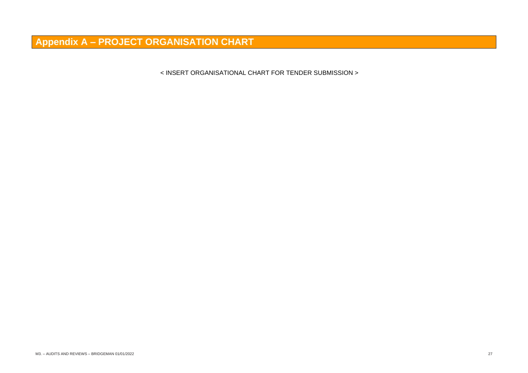<span id="page-26-0"></span>**Appendix A – PROJECT ORGANISATION CHART** 

< INSERT ORGANISATIONAL CHART FOR TENDER SUBMISSION >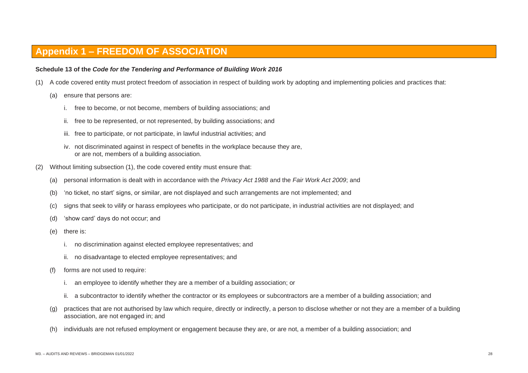### **Appendix 1 – FREEDOM OF ASSOCIATION**

#### **Schedule 13 of the** *Code for the Tendering and Performance of Building Work 2016*

- (1) A code covered entity must protect freedom of association in respect of building work by adopting and implementing policies and practices that:
	- (a) ensure that persons are:
		- i. free to become, or not become, members of building associations; and
		- ii. free to be represented, or not represented, by building associations; and
		- iii. free to participate, or not participate, in lawful industrial activities; and
		- iv. not discriminated against in respect of benefits in the workplace because they are, or are not, members of a building association.
- <span id="page-27-0"></span>(2) Without limiting subsection (1), the code covered entity must ensure that:
	- (a) personal information is dealt with in accordance with the *Privacy Act 1988* and the *Fair Work Act 2009*; and
	- (b) 'no ticket, no start' signs, or similar, are not displayed and such arrangements are not implemented; and
	- (c) signs that seek to vilify or harass employees who participate, or do not participate, in industrial activities are not displayed; and
	- (d) 'show card' days do not occur; and
	- (e) there is:
		- i. no discrimination against elected employee representatives; and
		- ii. no disadvantage to elected employee representatives; and
	- (f) forms are not used to require:
		- i. an employee to identify whether they are a member of a building association; or
		- ii. a subcontractor to identify whether the contractor or its employees or subcontractors are a member of a building association; and
	- (g) practices that are not authorised by law which require, directly or indirectly, a person to disclose whether or not they are a member of a building association, are not engaged in; and
	- (h) individuals are not refused employment or engagement because they are, or are not, a member of a building association; and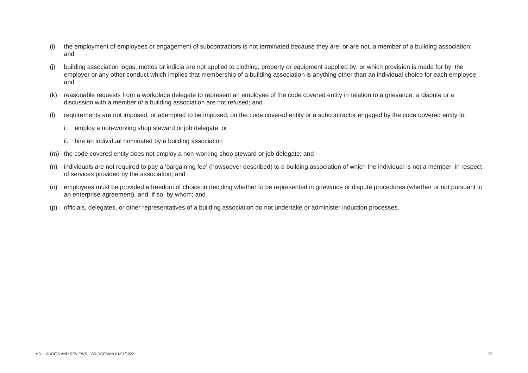- (i) the employment of employees or engagement of subcontractors is not terminated because they are, or are not, a member of a building association; and
- (j) building association logos, mottos or indicia are not applied to clothing, property or equipment supplied by, or which provision is made for by, the employer or any other conduct which implies that membership of a building association is anything other than an individual choice for each employee; and
- (k) reasonable requests from a workplace delegate to represent an employee of the code covered entity in relation to a grievance, a dispute or a discussion with a member of a building association are not refused; and
- (l) requirements are not imposed, or attempted to be imposed, on the code covered entity or a subcontractor engaged by the code covered entity to:
	- i. employ a non-working shop steward or job delegate; or
	- ii. hire an individual nominated by a building association
- (m) the code covered entity does not employ a non-working shop steward or job delegate; and
- (n) individuals are not required to pay a 'bargaining fee' (howsoever described) to a building association of which the individual is not a member, in respect of services provided by the association; and
- (o) employees must be provided a freedom of choice in deciding whether to be represented in grievance or dispute procedures (whether or not pursuant to an enterprise agreement), and, if so, by whom; and
- (p) officials, delegates, or other representatives of a building association do not undertake or administer induction processes.